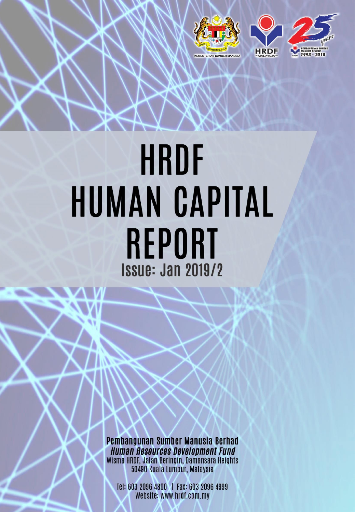

# HRDF **HUMAN CAPITAL REPORT Issue: Jan 2019/2**

Pembangunan Sumber Manusia Berhad **Human Resources Development Fund** Wisma HRDF, Jalan Beringin, Damansara Heights 50490 Kuala Lumpur, Malaysia

Tel: 603 2096 4800 | Fax: 603 2096 4999 Website: www.hrdf.com.my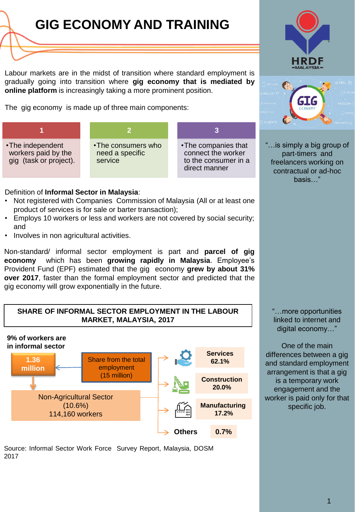## **[GIG ECONOMY AND TRAINING](http://www.google.com/url?sa=i&rct=j&q=&esrc=s&frm=1&source=images&cd=&cad=rja&uact=8&ved=2ahUKEwj38_mJtsbeAhXDXisKHWfxDP4QjRx6BAgBEAU&url=http://www.transparentpng.com/cats/lines-1247.html&psig=AOvVaw0XhQmCf158P5Bq4r5NxUre&ust=1541812512033239)**

Labour markets are in the midst of transition where standard employment is gradually going into transition where **gig economy that is mediated by online platform** is increasingly taking a more prominent position.

The gig economy is made up of three main components:

| •The independent<br>workers paid by the<br>gig (task or project). | •The consumers who<br>need a specific<br>service | • The companies that<br>connect the worker<br>to the consumer in a<br>direct manner |
|-------------------------------------------------------------------|--------------------------------------------------|-------------------------------------------------------------------------------------|

Definition of **Informal Sector in Malaysia**:

- Not registered with Companies Commission of Malaysia (All or at least one product of services is for sale or barter transaction);
- Employs 10 workers or less and workers are not covered by social security; and
- Involves in non agricultural activities.

Non-standard/ informal sector employment is part and **parcel of gig economy** which has been **growing rapidly in Malaysia**. Employee's Provident Fund (EPF) estimated that the gig economy **grew by about 31% over 2017**, faster than the formal employment sector and predicted that the gig economy will grow exponentially in the future.

#### **SHARE OF INFORMAL SECTOR EMPLOYMENT IN THE LABOUR MARKET, MALAYSIA, 2017**



Source: Informal Sector Work Force Survey Report, Malaysia, DOSM 2017





"…is simply a big group of part-timers and freelancers working on contractual or ad-hoc basis…"

"…more opportunities linked to internet and digital economy…"

One of the main differences between a gig and standard employment arrangement is that a gig is a temporary work engagement and the worker is paid only for that specific job.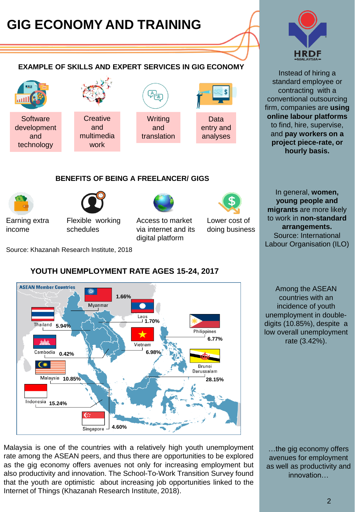## **[GIG ECONOMY AND TRAINING](http://www.google.com/url?sa=i&rct=j&q=&esrc=s&frm=1&source=images&cd=&cad=rja&uact=8&ved=2ahUKEwj38_mJtsbeAhXDXisKHWfxDP4QjRx6BAgBEAU&url=http://www.transparentpng.com/cats/lines-1247.html&psig=AOvVaw0XhQmCf158P5Bq4r5NxUre&ust=1541812512033239)**

#### **EXAMPLE OF SKILLS AND EXPERT SERVICES IN GIG ECONOMY**



#### **BENEFITS OF BEING A FREELANCER/ GIGS**





Earning extra income

Flexible working schedules

Access to market via internet and its

digital platform

Lower cost of doing business

Source: Khazanah Research Institute, 2018

#### **ASEAN Member Countries** 瓣 **1.66%** Myanmar Laos **1.70% 5.94%** Philippines **6.77%** Vietnam **6.98%** Cambodia **0.42%** Brunei Darussalam **10.85% 28.15% 15.24% 4.60%** Singapore

### **YOUTH UNEMPLOYMENT RATE AGES 15-24, 2017**

Malaysia is one of the countries with a relatively high youth unemployment rate among the ASEAN peers, and thus there are opportunities to be explored as the gig economy offers avenues not only for increasing employment but also productivity and innovation. The School-To-Work Transition Survey found that the youth are optimistic about increasing job opportunities linked to the Internet of Things (Khazanah Research Institute, 2018).



Instead of hiring a standard employee or contracting with a conventional outsourcing firm, companies are **using online labour platforms** to find, hire, supervise, and **pay workers on a project piece-rate, or hourly basis.**

In general, **women, young people and migrants** are more likely to work in **non-standard arrangements.** Source: International Labour Organisation (ILO)

Among the ASEAN countries with an incidence of youth unemployment in doubledigits (10.85%), despite a low overall unemployment rate (3.42%).

…the gig economy offers avenues for employment as well as productivity and innovation…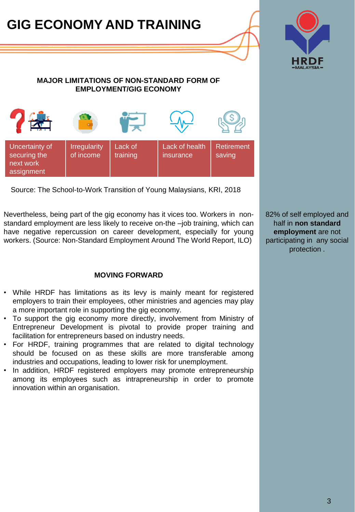## **[GIG ECONOMY AND TRAINING](http://www.google.com/url?sa=i&rct=j&q=&esrc=s&frm=1&source=images&cd=&cad=rja&uact=8&ved=2ahUKEwj38_mJtsbeAhXDXisKHWfxDP4QjRx6BAgBEAU&url=http://www.transparentpng.com/cats/lines-1247.html&psig=AOvVaw0XhQmCf158P5Bq4r5NxUre&ust=1541812512033239)**



#### **MAJOR LIMITATIONS OF NON-STANDARD FORM OF EMPLOYMENT/GIG ECONOMY**



Source: The School-to-Work Transition of Young Malaysians, KRI, 2018

Nevertheless, being part of the gig economy has it vices too. Workers in nonstandard employment are less likely to receive on-the –job training, which can have negative repercussion on career development, especially for young workers. (Source: Non-Standard Employment Around The World Report, ILO)

#### **MOVING FORWARD**

- While HRDF has limitations as its levy is mainly meant for registered employers to train their employees, other ministries and agencies may play a more important role in supporting the gig economy.
- To support the gig economy more directly, involvement from Ministry of Entrepreneur Development is pivotal to provide proper training and facilitation for entrepreneurs based on industry needs.
- For HRDF, training programmes that are related to digital technology should be focused on as these skills are more transferable among industries and occupations, leading to lower risk for unemployment.
- In addition, HRDF registered employers may promote entrepreneurship among its employees such as intrapreneurship in order to promote innovation within an organisation.

82% of self employed and half in **non standard employment** are not participating in any social protection .